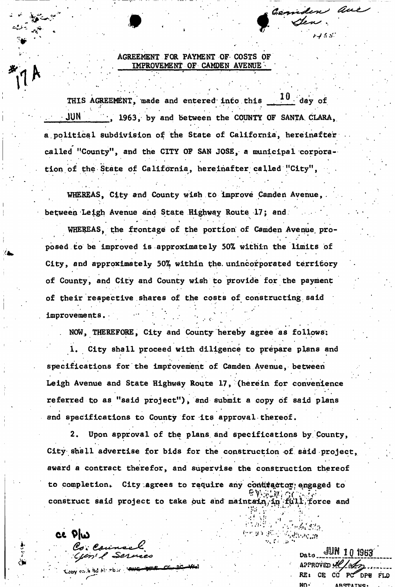AGREEMENT FOR PAYMENT OF- COSTS OF IMPROVEMENT OF CAMDEN AVENUE

-v *9* ^

 $10$  day of THIS AGREEMENT, made and entered into this  $JUN$ , 1963, by and between the COUNTY OF SANTA CLARA, a political subdivision of the State of California, hereinafter called "County", and the CITY OF SAN JOSE, a municipal corporation of the State of California, hereinafter called "City", tion of (he-State df California, hereinafter called "City",

WHEREAS, City and County wish to improve Camden Avenue, between Leigh Avenue and State Highway Route 17; and

r " ' i "

WHEREAS, the frontage of the portion of Camden Avenue, proposed to be improved is approximately 50% within the limits of City, and approximately 50% within the. unincorporated territory of County, and City and County wish to provide for the payment of their respective shares of the costs of constructing said of the spectral shares of the costs of the costs of the costs of costs of costs of costs of costs of constructions  $\mathcal{L}_\mathcal{S}$ 

NOW, THEREFORE, City and County hereby agree as follows:

1. City shall proceed with diligence to prepare plans and specifications for the improvement of Camden Avenue, between Leigh Avenue and State Highway Route 17, (herein for convenience referred to as "said project"), and submit a copy of said plans and specifications to County for its approval thereof.

Upon approval of the plans and specifications by County, City shall advertise for bids for the construction of said project, award a contract therefor, and supervise the construction thereof to completion. City agrees to require any contractor, engaged to construct said project to take out and maintain, in full force and

construction satisfies to take out and maintain  $\mathcal{L}^{\mathcal{A}}$  for  $\mathcal{L}^{\mathcal{A}}$  for  $\mathcal{L}^{\mathcal{A}}$  for  $\mathcal{L}^{\mathcal{A}}$  for  $\mathcal{L}^{\mathcal{A}}$  for  $\mathcal{L}^{\mathcal{A}}$  for  $\mathcal{L}^{\mathcal{A}}$  for  $\mathcal{L}^{\mathcal{A}}$ 

ce plw

. .. . . " ' Oato.JMW.llW Loby cash Bd N: tbs: **PWC execute CC DC Well**<br>RE: CE CC PC<sup>2</sup> **Example and the subset of the set of the set of the set of the result of the result of the result of the result of the result of the result of the result of the result of the result of the result of the result of the resu** MO\* ARSTATMC

4 in 1945 in the Council of the Council  $S$  and  $S$  is a  $\sim$   $S$   $\sim$   $S$   $\sim$   $S$   $\sim$   $S$   $\sim$   $S$   $\sim$   $S$   $\sim$   $S$   $\sim$   $S$   $\sim$   $S$   $\sim$   $S$   $\sim$   $S$   $\sim$   $S$   $\sim$   $S$   $\sim$   $S$   $\sim$   $S$   $\sim$   $S$   $\sim$   $S$   $\sim$   $S$   $\sim$   $S$   $\sim$   $S$   $\sim$   $S$   $\sim$   $S$   $\sim$ 

 $\frac{1}{\sqrt{2}}\frac{1}{\sqrt{2}}\frac{1}{\sqrt{2}}\frac{1}{\sqrt{2}}\frac{1}{\sqrt{2}}\frac{1}{\sqrt{2}}\frac{1}{\sqrt{2}}\frac{1}{\sqrt{2}}\frac{1}{\sqrt{2}}\frac{1}{\sqrt{2}}\frac{1}{\sqrt{2}}\frac{1}{\sqrt{2}}\frac{1}{\sqrt{2}}\frac{1}{\sqrt{2}}\frac{1}{\sqrt{2}}\frac{1}{\sqrt{2}}\frac{1}{\sqrt{2}}\frac{1}{\sqrt{2}}\frac{1}{\sqrt{2}}\frac{1}{\sqrt{2}}\frac{1}{\sqrt{2}}\frac{1}{\sqrt{2}}$ 

 $\epsilon$  -single  $\mu$  .

*t-f f. .•>•*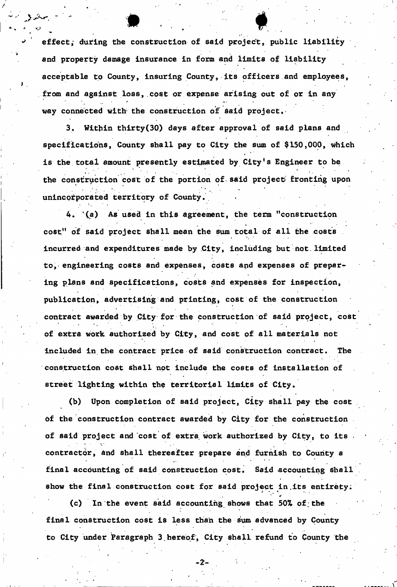effect; during the construction of said project, public liability and property damage insurance in form and limits of liability acceptable to County, insuring County, its officers and employees, from and against loss, cost or expense arising out of or in any way connected with the construction of Said project,

. . .

3. Within thirty(30) days after approval of said plans and specifications, County shall pay to City the sum of \$150,000, which is the total amount presently estimated by City's Engineer to be the construction cost of the portion of said project fronting upon unincorporated territory of County..

4. (a) As used in this agreement, the term "construction cost" of said project shall mean the sum total of all the costs incurred and expenditures made by City, including but not. limited to, engineering costs and expenses, costs and expenses of preparing plans and specifications, costs and expenses for inspection, publication, advertising and printing, cost of the construction contract awarded by City for the construction of said project, cost of extra work authorized by City, and cost of all materials not included in the contract price of said construction contract. The construction cost shall not include the costs of installation of street lighting within the territorial limits of City.

(b) Upon completion of said project, City shall pay the cost of the construction contract awarded by City for the construction  $\mathcal{A}_\mathcal{A}$  the construction construction construction construction construction construction construction  $\mathcal{A}_\mathcal{A}$ of said project and cost of extra work authorized by City, to its • contractorj and shall thereafter prepare and furnish to County a final accounting of said construction cost. Said accounting shall final accounting of said construction cost. Said accounting shall show the final cost final cost for said project in. Its entirety:  $\mathcal{L}_\mathbf{r}$  is entirety:  $\mathcal{L}_\mathbf{r}$ 

(c) In the event said accounting shows that 50% of the (c) In the event said accounting shows that  $\mathcal{F}_\mathcal{A}$  is a contribution of  $\mathcal{F}_\mathcal{A}$ final construction cost is less than the sum advanced by County final construction cost is less than the sum advanced by County to City under Paragraph 3.hereof, City shall refund to County the

**- 2 -**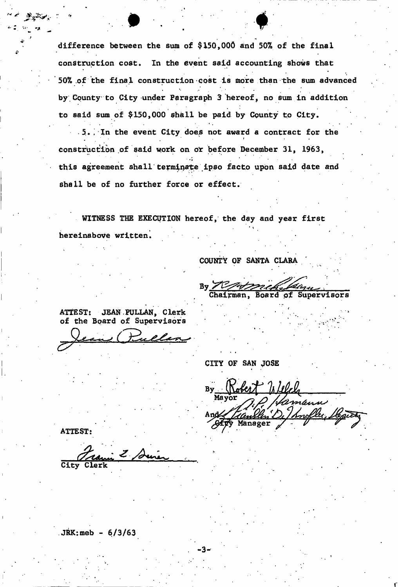difference between the sum of \$150,000 and 50% of the final construction cost. In the event said accounting shows that 50% of the final construction cost is more than the sum advanced by County to City under Paragraph 3 hereof, no sum in addition to said sum of \$150,000 shall be paid by County to City.

.5.. In the event City does not award a contract for the i construction of said work on  $\mathcal{L}_{\mathcal{A}}$  ,  $\mathcal{L}_{\mathcal{A}}$  ,  $\mathcal{L}_{\mathcal{A}}$  ,  $\mathcal{L}_{\mathcal{A}}$  ,  $\mathcal{L}_{\mathcal{A}}$ this agreement shall terminate ipso facto upon said date and shall be of no further force or effect.

WITNESS THE EXECUTION hereof, the day and year first hereinabove written.

COUNTY OF SANTA CLARA

 $By \n\mathbb{Z}$ Chairman, Board of Supervisors

ATTEST: JEAN PULLAN, Clerk of the Board of Supervisors

*c* 

CITY OF SAN JOSE

nefler, Manager

ATTEST:

City Clerk

 $JKK:meb - 6/3/63$